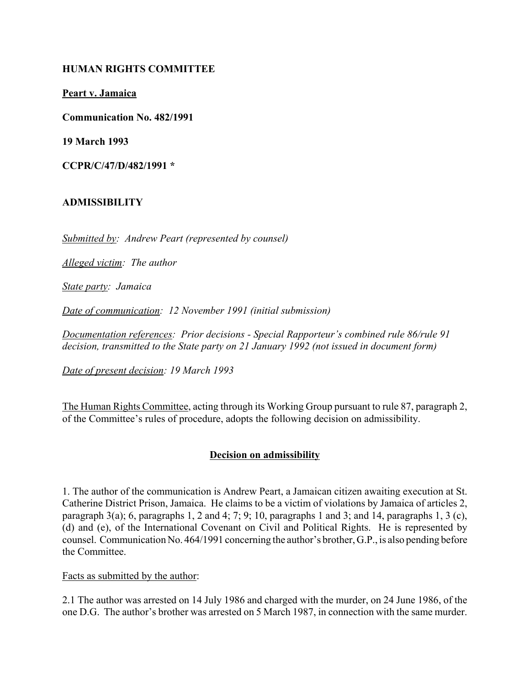### **HUMAN RIGHTS COMMITTEE**

**Peart v. Jamaica**

**Communication No. 482/1991**

**19 March 1993**

**CCPR/C/47/D/482/1991 \***

### **ADMISSIBILITY**

*Submitted by: Andrew Peart (represented by counsel)*

*Alleged victim: The author*

*State party: Jamaica*

*Date of communication: 12 November 1991 (initial submission)*

*Documentation references: Prior decisions - Special Rapporteur's combined rule 86/rule 91 decision, transmitted to the State party on 21 January 1992 (not issued in document form)*

*Date of present decision: 19 March 1993*

The Human Rights Committee, acting through its Working Group pursuant to rule 87, paragraph 2, of the Committee's rules of procedure, adopts the following decision on admissibility.

# **Decision on admissibility**

1. The author of the communication is Andrew Peart, a Jamaican citizen awaiting execution at St. Catherine District Prison, Jamaica. He claims to be a victim of violations by Jamaica of articles 2, paragraph 3(a); 6, paragraphs 1, 2 and 4; 7; 9; 10, paragraphs 1 and 3; and 14, paragraphs 1, 3 (c), (d) and (e), of the International Covenant on Civil and Political Rights. He is represented by counsel. Communication No. 464/1991 concerning the author's brother, G.P., is also pending before the Committee.

#### Facts as submitted by the author:

2.1 The author was arrested on 14 July 1986 and charged with the murder, on 24 June 1986, of the one D.G. The author's brother was arrested on 5 March 1987, in connection with the same murder.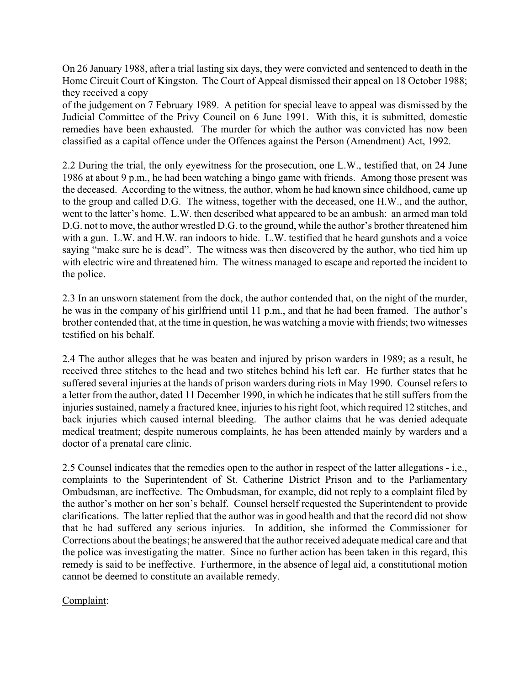On 26 January 1988, after a trial lasting six days, they were convicted and sentenced to death in the Home Circuit Court of Kingston. The Court of Appeal dismissed their appeal on 18 October 1988; they received a copy

of the judgement on 7 February 1989. A petition for special leave to appeal was dismissed by the Judicial Committee of the Privy Council on 6 June 1991. With this, it is submitted, domestic remedies have been exhausted. The murder for which the author was convicted has now been classified as a capital offence under the Offences against the Person (Amendment) Act, 1992.

2.2 During the trial, the only eyewitness for the prosecution, one L.W., testified that, on 24 June 1986 at about 9 p.m., he had been watching a bingo game with friends. Among those present was the deceased. According to the witness, the author, whom he had known since childhood, came up to the group and called D.G. The witness, together with the deceased, one H.W., and the author, went to the latter's home. L.W. then described what appeared to be an ambush: an armed man told D.G. not to move, the author wrestled D.G. to the ground, while the author's brother threatened him with a gun. L.W. and H.W. ran indoors to hide. L.W. testified that he heard gunshots and a voice saying "make sure he is dead". The witness was then discovered by the author, who tied him up with electric wire and threatened him. The witness managed to escape and reported the incident to the police.

2.3 In an unsworn statement from the dock, the author contended that, on the night of the murder, he was in the company of his girlfriend until 11 p.m., and that he had been framed. The author's brother contended that, at the time in question, he was watching a movie with friends; two witnesses testified on his behalf.

2.4 The author alleges that he was beaten and injured by prison warders in 1989; as a result, he received three stitches to the head and two stitches behind his left ear. He further states that he suffered several injuries at the hands of prison warders during riots in May 1990. Counsel refers to a letter from the author, dated 11 December 1990, in which he indicates that he still suffers from the injuries sustained, namely a fractured knee, injuries to his right foot, which required 12 stitches, and back injuries which caused internal bleeding. The author claims that he was denied adequate medical treatment; despite numerous complaints, he has been attended mainly by warders and a doctor of a prenatal care clinic.

2.5 Counsel indicates that the remedies open to the author in respect of the latter allegations - i.e., complaints to the Superintendent of St. Catherine District Prison and to the Parliamentary Ombudsman, are ineffective. The Ombudsman, for example, did not reply to a complaint filed by the author's mother on her son's behalf. Counsel herself requested the Superintendent to provide clarifications. The latter replied that the author was in good health and that the record did not show that he had suffered any serious injuries. In addition, she informed the Commissioner for Corrections about the beatings; he answered that the author received adequate medical care and that the police was investigating the matter. Since no further action has been taken in this regard, this remedy is said to be ineffective. Furthermore, in the absence of legal aid, a constitutional motion cannot be deemed to constitute an available remedy.

# Complaint: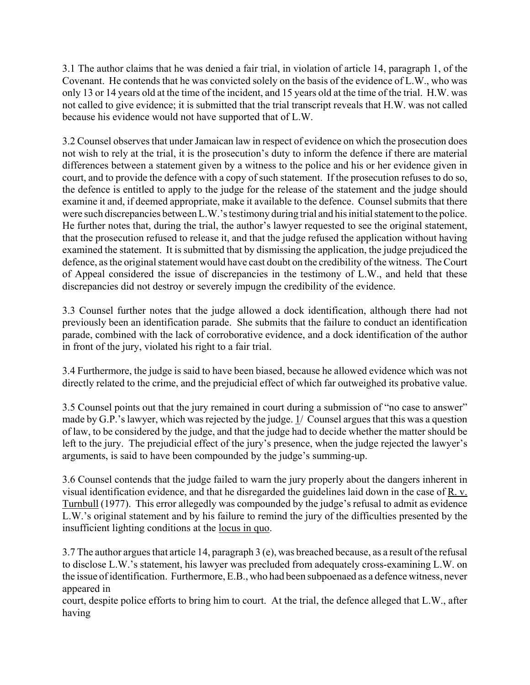3.1 The author claims that he was denied a fair trial, in violation of article 14, paragraph 1, of the Covenant. He contends that he was convicted solely on the basis of the evidence of L.W., who was only 13 or 14 years old at the time of the incident, and 15 years old at the time of the trial. H.W. was not called to give evidence; it is submitted that the trial transcript reveals that H.W. was not called because his evidence would not have supported that of L.W.

3.2 Counsel observes that under Jamaican law in respect of evidence on which the prosecution does not wish to rely at the trial, it is the prosecution's duty to inform the defence if there are material differences between a statement given by a witness to the police and his or her evidence given in court, and to provide the defence with a copy of such statement. If the prosecution refuses to do so, the defence is entitled to apply to the judge for the release of the statement and the judge should examine it and, if deemed appropriate, make it available to the defence. Counsel submits that there were such discrepancies between L.W.'s testimony during trial and his initial statement to the police. He further notes that, during the trial, the author's lawyer requested to see the original statement, that the prosecution refused to release it, and that the judge refused the application without having examined the statement. It is submitted that by dismissing the application, the judge prejudiced the defence, as the original statement would have cast doubt on the credibility of the witness. The Court of Appeal considered the issue of discrepancies in the testimony of L.W., and held that these discrepancies did not destroy or severely impugn the credibility of the evidence.

3.3 Counsel further notes that the judge allowed a dock identification, although there had not previously been an identification parade. She submits that the failure to conduct an identification parade, combined with the lack of corroborative evidence, and a dock identification of the author in front of the jury, violated his right to a fair trial.

3.4 Furthermore, the judge is said to have been biased, because he allowed evidence which was not directly related to the crime, and the prejudicial effect of which far outweighed its probative value.

3.5 Counsel points out that the jury remained in court during a submission of "no case to answer" made by G.P.'s lawyer, which was rejected by the judge. 1/ Counsel argues that this was a question of law, to be considered by the judge, and that the judge had to decide whether the matter should be left to the jury. The prejudicial effect of the jury's presence, when the judge rejected the lawyer's arguments, is said to have been compounded by the judge's summing-up.

3.6 Counsel contends that the judge failed to warn the jury properly about the dangers inherent in visual identification evidence, and that he disregarded the guidelines laid down in the case of R. v. Turnbull (1977). This error allegedly was compounded by the judge's refusal to admit as evidence L.W.ís original statement and by his failure to remind the jury of the difficulties presented by the insufficient lighting conditions at the locus in quo.

3.7 The author argues that article 14, paragraph 3 (e), was breached because, as a result of the refusal to disclose L.W.'s statement, his lawyer was precluded from adequately cross-examining L.W. on the issue of identification. Furthermore, E.B., who had been subpoenaed as a defence witness, never appeared in

court, despite police efforts to bring him to court. At the trial, the defence alleged that L.W., after having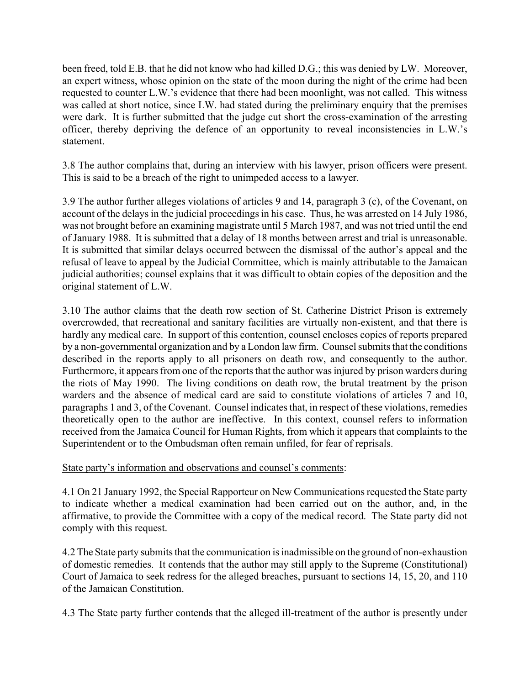been freed, told E.B. that he did not know who had killed D.G.; this was denied by LW. Moreover, an expert witness, whose opinion on the state of the moon during the night of the crime had been requested to counter L.W.'s evidence that there had been moonlight, was not called. This witness was called at short notice, since LW. had stated during the preliminary enquiry that the premises were dark. It is further submitted that the judge cut short the cross-examination of the arresting officer, thereby depriving the defence of an opportunity to reveal inconsistencies in L.W.'s statement.

3.8 The author complains that, during an interview with his lawyer, prison officers were present. This is said to be a breach of the right to unimpeded access to a lawyer.

3.9 The author further alleges violations of articles 9 and 14, paragraph 3 (c), of the Covenant, on account of the delays in the judicial proceedings in his case. Thus, he was arrested on 14 July 1986, was not brought before an examining magistrate until 5 March 1987, and was not tried until the end of January 1988. It is submitted that a delay of 18 months between arrest and trial is unreasonable. It is submitted that similar delays occurred between the dismissal of the author's appeal and the refusal of leave to appeal by the Judicial Committee, which is mainly attributable to the Jamaican judicial authorities; counsel explains that it was difficult to obtain copies of the deposition and the original statement of L.W.

3.10 The author claims that the death row section of St. Catherine District Prison is extremely overcrowded, that recreational and sanitary facilities are virtually non-existent, and that there is hardly any medical care. In support of this contention, counsel encloses copies of reports prepared by a non-governmental organization and by a London law firm. Counsel submits that the conditions described in the reports apply to all prisoners on death row, and consequently to the author. Furthermore, it appears from one of the reports that the author was injured by prison warders during the riots of May 1990. The living conditions on death row, the brutal treatment by the prison warders and the absence of medical card are said to constitute violations of articles 7 and 10, paragraphs 1 and 3, of the Covenant. Counsel indicates that, in respect of these violations, remedies theoretically open to the author are ineffective. In this context, counsel refers to information received from the Jamaica Council for Human Rights, from which it appears that complaints to the Superintendent or to the Ombudsman often remain unfiled, for fear of reprisals.

# State party's information and observations and counsel's comments:

4.1 On 21 January 1992, the Special Rapporteur on New Communications requested the State party to indicate whether a medical examination had been carried out on the author, and, in the affirmative, to provide the Committee with a copy of the medical record. The State party did not comply with this request.

4.2 The State party submits that the communication is inadmissible on the ground of non-exhaustion of domestic remedies. It contends that the author may still apply to the Supreme (Constitutional) Court of Jamaica to seek redress for the alleged breaches, pursuant to sections 14, 15, 20, and 110 of the Jamaican Constitution.

4.3 The State party further contends that the alleged ill-treatment of the author is presently under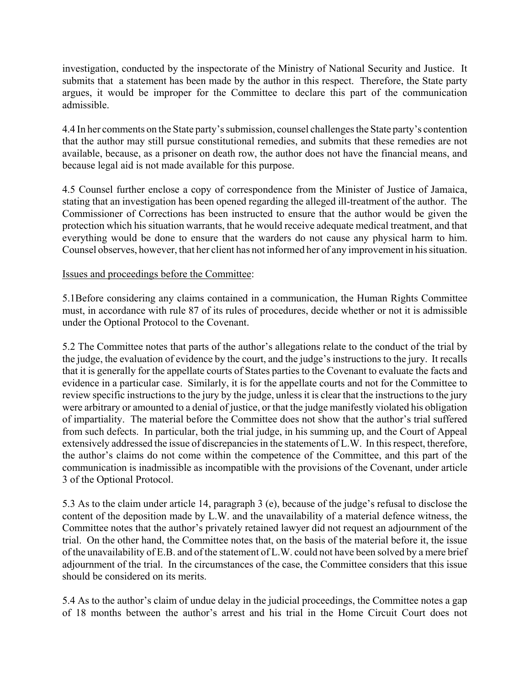investigation, conducted by the inspectorate of the Ministry of National Security and Justice. It submits that a statement has been made by the author in this respect. Therefore, the State party argues, it would be improper for the Committee to declare this part of the communication admissible.

4.4 In her comments on the State party's submission, counsel challenges the State party's contention that the author may still pursue constitutional remedies, and submits that these remedies are not available, because, as a prisoner on death row, the author does not have the financial means, and because legal aid is not made available for this purpose.

4.5 Counsel further enclose a copy of correspondence from the Minister of Justice of Jamaica, stating that an investigation has been opened regarding the alleged ill-treatment of the author. The Commissioner of Corrections has been instructed to ensure that the author would be given the protection which his situation warrants, that he would receive adequate medical treatment, and that everything would be done to ensure that the warders do not cause any physical harm to him. Counsel observes, however, that her client has not informed her of any improvement in his situation.

### Issues and proceedings before the Committee:

5.1Before considering any claims contained in a communication, the Human Rights Committee must, in accordance with rule 87 of its rules of procedures, decide whether or not it is admissible under the Optional Protocol to the Covenant.

5.2 The Committee notes that parts of the author's allegations relate to the conduct of the trial by the judge, the evaluation of evidence by the court, and the judge's instructions to the jury. It recalls that it is generally for the appellate courts of States parties to the Covenant to evaluate the facts and evidence in a particular case. Similarly, it is for the appellate courts and not for the Committee to review specific instructions to the jury by the judge, unless it is clear that the instructions to the jury were arbitrary or amounted to a denial of justice, or that the judge manifestly violated his obligation of impartiality. The material before the Committee does not show that the author's trial suffered from such defects. In particular, both the trial judge, in his summing up, and the Court of Appeal extensively addressed the issue of discrepancies in the statements of L.W. In this respect, therefore, the author's claims do not come within the competence of the Committee, and this part of the communication is inadmissible as incompatible with the provisions of the Covenant, under article 3 of the Optional Protocol.

5.3 As to the claim under article 14, paragraph 3 (e), because of the judge's refusal to disclose the content of the deposition made by L.W. and the unavailability of a material defence witness, the Committee notes that the author's privately retained lawyer did not request an adjournment of the trial. On the other hand, the Committee notes that, on the basis of the material before it, the issue of the unavailability of E.B. and of the statement of L.W. could not have been solved by a mere brief adjournment of the trial. In the circumstances of the case, the Committee considers that this issue should be considered on its merits.

5.4 As to the author's claim of undue delay in the judicial proceedings, the Committee notes a gap of 18 months between the author's arrest and his trial in the Home Circuit Court does not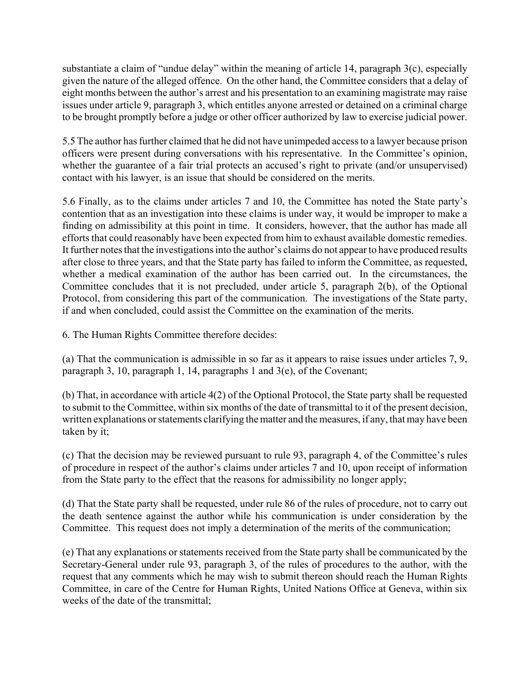substantiate a claim of "undue delay" within the meaning of article 14, paragraph  $3(c)$ , especially given the nature of the alleged offence. On the other hand, the Committee considers that a delay of eight months between the author's arrest and his presentation to an examining magistrate may raise issues under article 9, paragraph 3, which entitles anyone arrested or detained on a criminal charge to be brought promptly before a judge or other officer authorized by law to exercise judicial power.

5.5 The author has further claimed that he did not have unimpeded access to a lawyer because prison officers were present during conversations with his representative. In the Committee's opinion, whether the guarantee of a fair trial protects an accused's right to private (and/or unsupervised) contact with his lawyer, is an issue that should be considered on the merits.

5.6 Finally, as to the claims under articles 7 and 10, the Committee has noted the State partyís contention that as an investigation into these claims is under way, it would be improper to make a finding on admissibility at this point in time. It considers, however, that the author has made all efforts that could reasonably have been expected from him to exhaust available domestic remedies. It further notes that the investigations into the author's claims do not appear to have produced results after close to three years, and that the State party has failed to inform the Committee, as requested, whether a medical examination of the author has been carried out. In the circumstances, the Committee concludes that it is not precluded, under article 5, paragraph 2(b), of the Optional Protocol, from considering this part of the communication. The investigations of the State party, if and when concluded, could assist the Committee on the examination of the merits.

6. The Human Rights Committee therefore decides:

(a) That the communication is admissible in so far as it appears to raise issues under articles 7, 9, paragraph 3, 10, paragraph 1, 14, paragraphs 1 and 3(e), of the Covenant;

(b) That, in accordance with article 4(2) of the Optional Protocol, the State party shall be requested to submit to the Committee, within six months of the date of transmittal to it of the present decision, written explanations or statements clarifying the matter and the measures, if any, that may have been taken by it;

 $(c)$  That the decision may be reviewed pursuant to rule 93, paragraph 4, of the Committee's rules of procedure in respect of the author's claims under articles 7 and 10, upon receipt of information from the State party to the effect that the reasons for admissibility no longer apply;

(d) That the State party shall be requested, under rule 86 of the rules of procedure, not to carry out the death sentence against the author while his communication is under consideration by the Committee. This request does not imply a determination of the merits of the communication;

(e) That any explanations or statements received from the State party shall be communicated by the Secretary-General under rule 93, paragraph 3, of the rules of procedures to the author, with the request that any comments which he may wish to submit thereon should reach the Human Rights Committee, in care of the Centre for Human Rights, United Nations Office at Geneva, within six weeks of the date of the transmittal;